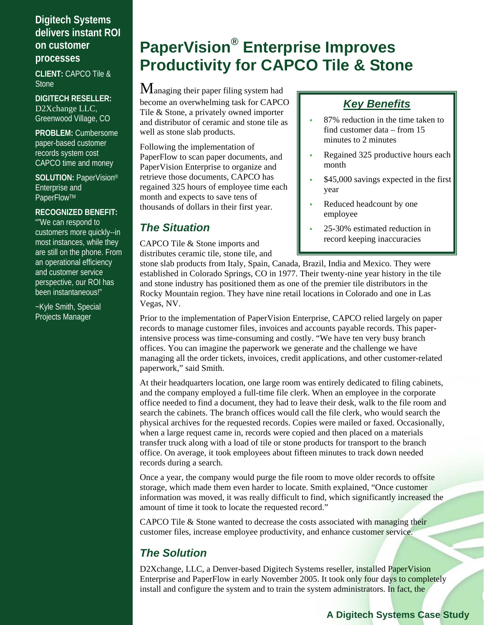## **Digitech Systems delivers instant ROI on customer processes**

**CLIENT:** CAPCO Tile & **Stone** 

**DIGITECH RESELLER:**  D2Xchange LLC, Greenwood Village, CO

**PROBLEM:** Cumbersome paper-based customer records system cost CAPCO time and money

**SOLUTION:** PaperVision® Enterprise and PaperFlow™

### **RECOGNIZED BENEFIT:**

""We can respond to customers more quickly--in most instances, while they are still on the phone. From an operational efficiency and customer service perspective, our ROI has been instantaneous!"

~Kyle Smith, Special Projects Manager

# **PaperVision® Enterprise Improves Productivity for CAPCO Tile & Stone**

Managing their paper filing system had become an overwhelming task for CAPCO Tile & Stone, a privately owned importer and distributor of ceramic and stone tile as well as stone slab products.

Following the implementation of PaperFlow to scan paper documents, and PaperVision Enterprise to organize and retrieve those documents, CAPCO has regained 325 hours of employee time each month and expects to save tens of thousands of dollars in their first year.

## *The Situation*

CAPCO Tile & Stone imports and distributes ceramic tile, stone tile, and

## *Key Benefits*

- 87% reduction in the time taken to find customer data – from 15 minutes to 2 minutes
- Regained 325 productive hours each month
- \$45,000 savings expected in the first year
- Reduced headcount by one employee
- 25-30% estimated reduction in record keeping inaccuracies

stone slab products from Italy, Spain, Canada, Brazil, India and Mexico. They were established in Colorado Springs, CO in 1977. Their twenty-nine year history in the tile and stone industry has positioned them as one of the premier tile distributors in the Rocky Mountain region. They have nine retail locations in Colorado and one in Las Vegas, NV.

Prior to the implementation of PaperVision Enterprise, CAPCO relied largely on paper records to manage customer files, invoices and accounts payable records. This paperintensive process was time-consuming and costly. "We have ten very busy branch offices. You can imagine the paperwork we generate and the challenge we have managing all the order tickets, invoices, credit applications, and other customer-related paperwork," said Smith.

At their headquarters location, one large room was entirely dedicated to filing cabinets, and the company employed a full-time file clerk. When an employee in the corporate office needed to find a document, they had to leave their desk, walk to the file room and search the cabinets. The branch offices would call the file clerk, who would search the physical archives for the requested records. Copies were mailed or faxed. Occasionally, when a large request came in, records were copied and then placed on a materials transfer truck along with a load of tile or stone products for transport to the branch office. On average, it took employees about fifteen minutes to track down needed records during a search.

Once a year, the company would purge the file room to move older records to offsite storage, which made them even harder to locate. Smith explained, "Once customer information was moved, it was really difficult to find, which significantly increased the amount of time it took to locate the requested record."

CAPCO Tile & Stone wanted to decrease the costs associated with managing their customer files, increase employee productivity, and enhance customer service.

## *The Solution*

D2Xchange, LLC, a Denver-based Digitech Systems reseller, installed PaperVision Enterprise and PaperFlow in early November 2005. It took only four days to completely install and configure the system and to train the system administrators. In fact, the

## **A Digitech Systems Case Study**